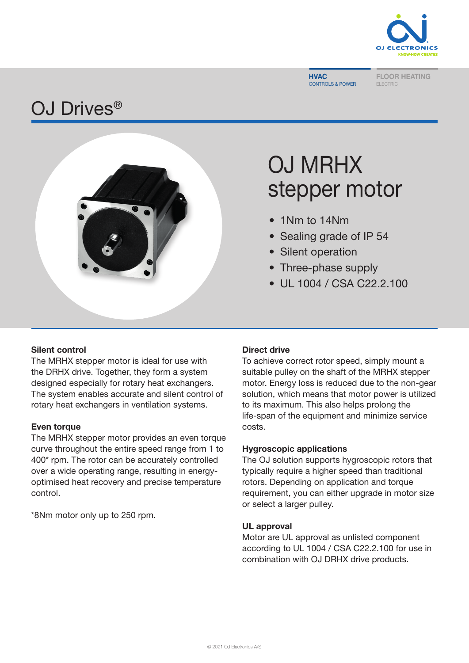

**HVAC** CONTROLS & POWER

FLOOR HEATING

## OJ Drives<sup>®</sup>



# OJ MRHX stepper motor

- 1Nm to 14Nm
- Sealing grade of IP 54
- ? • Silent operation
	- Three-phase supply
	- UL 1004 / CSA C22.2.100

### Silent control

The MRHX stepper motor is ideal for use with the DRHX drive. Together, they form a system designed especially for rotary heat exchangers. The system enables accurate and silent control of rotary heat exchangers in ventilation systems.

### **Even torque**

The MRHX stepper motor provides an even torque curve throughout the entire speed range from 1 to 400\* rpm. The rotor can be accurately controlled over a wide operating range, resulting in energyoptimised heat recovery and precise temperature control.

\*8Nm motor only up to 250 rpm.

### Direct drive

To achieve correct rotor speed, simply mount a suitable pulley on the shaft of the MRHX stepper motor. Energy loss is reduced due to the non-gear solution, which means that motor power is utilized to its maximum. This also helps prolong the life-span of the equipment and minimize service costs.

### Hygroscopic applications

The OJ solution supports hygroscopic rotors that typically require a higher speed than traditional rotors. Depending on application and torque requirement, you can either upgrade in motor size or select a larger pulley.

### UL approval

Motor are UL approval as unlisted component according to UL 1004 / CSA C22.2.100 for use in combination with OJ DRHX drive products.